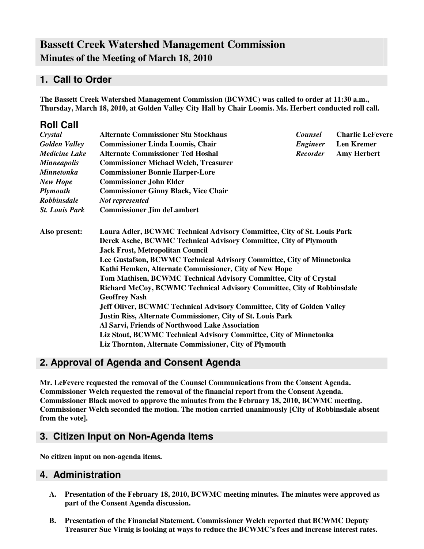# **Bassett Creek Watershed Management Commission Minutes of the Meeting of March 18, 2010**

## **1. Call to Order**

**The Bassett Creek Watershed Management Commission (BCWMC) was called to order at 11:30 a.m., Thursday, March 18, 2010, at Golden Valley City Hall by Chair Loomis. Ms. Herbert conducted roll call.**

| <b>Roll Call</b>      |                                                                                                                                                                                                                                                                                                                            |                                                        |                         |  |  |                                                                               |  |  |  |  |  |
|-----------------------|----------------------------------------------------------------------------------------------------------------------------------------------------------------------------------------------------------------------------------------------------------------------------------------------------------------------------|--------------------------------------------------------|-------------------------|--|--|-------------------------------------------------------------------------------|--|--|--|--|--|
| Crystal               | <b>Alternate Commissioner Stu Stockhaus</b>                                                                                                                                                                                                                                                                                | <b>Counsel</b>                                         | <b>Charlie LeFevere</b> |  |  |                                                                               |  |  |  |  |  |
| <b>Golden Valley</b>  | <b>Commissioner Linda Loomis, Chair</b>                                                                                                                                                                                                                                                                                    | Engineer                                               | <b>Len Kremer</b>       |  |  |                                                                               |  |  |  |  |  |
| <b>Medicine Lake</b>  | <b>Alternate Commissioner Ted Hoshal</b>                                                                                                                                                                                                                                                                                   | <b>Recorder</b>                                        | <b>Amy Herbert</b>      |  |  |                                                                               |  |  |  |  |  |
| <b>Minneapolis</b>    | <b>Commissioner Michael Welch, Treasurer</b>                                                                                                                                                                                                                                                                               |                                                        |                         |  |  |                                                                               |  |  |  |  |  |
| <b>Minnetonka</b>     | <b>Commissioner Bonnie Harper-Lore</b>                                                                                                                                                                                                                                                                                     |                                                        |                         |  |  |                                                                               |  |  |  |  |  |
| <b>New Hope</b>       | <b>Commissioner John Elder</b>                                                                                                                                                                                                                                                                                             |                                                        |                         |  |  |                                                                               |  |  |  |  |  |
| <b>Plymouth</b>       | <b>Commissioner Ginny Black, Vice Chair</b>                                                                                                                                                                                                                                                                                |                                                        |                         |  |  |                                                                               |  |  |  |  |  |
| Robbinsdale           |                                                                                                                                                                                                                                                                                                                            |                                                        |                         |  |  |                                                                               |  |  |  |  |  |
| <b>St. Louis Park</b> | <b>Commissioner Jim deLambert</b>                                                                                                                                                                                                                                                                                          |                                                        |                         |  |  |                                                                               |  |  |  |  |  |
| Also present:         | Laura Adler, BCWMC Technical Advisory Committee, City of St. Louis Park<br>Derek Asche, BCWMC Technical Advisory Committee, City of Plymouth<br><b>Jack Frost, Metropolitan Council</b><br>Lee Gustafson, BCWMC Technical Advisory Committee, City of Minnetonka<br>Kathi Hemken, Alternate Commissioner, City of New Hope |                                                        |                         |  |  |                                                                               |  |  |  |  |  |
|                       |                                                                                                                                                                                                                                                                                                                            |                                                        |                         |  |  | Tom Mathisen, BCWMC Technical Advisory Committee, City of Crystal             |  |  |  |  |  |
|                       |                                                                                                                                                                                                                                                                                                                            |                                                        |                         |  |  | Richard McCoy, BCWMC Technical Advisory Committee, City of Robbinsdale        |  |  |  |  |  |
|                       |                                                                                                                                                                                                                                                                                                                            |                                                        |                         |  |  | <b>Geoffrey Nash</b>                                                          |  |  |  |  |  |
|                       |                                                                                                                                                                                                                                                                                                                            |                                                        |                         |  |  | <b>Jeff Oliver, BCWMC Technical Advisory Committee, City of Golden Valley</b> |  |  |  |  |  |
|                       | Justin Riss, Alternate Commissioner, City of St. Louis Park                                                                                                                                                                                                                                                                |                                                        |                         |  |  |                                                                               |  |  |  |  |  |
|                       | Al Sarvi, Friends of Northwood Lake Association                                                                                                                                                                                                                                                                            |                                                        |                         |  |  |                                                                               |  |  |  |  |  |
|                       | Liz Stout, BCWMC Technical Advisory Committee, City of Minnetonka                                                                                                                                                                                                                                                          |                                                        |                         |  |  |                                                                               |  |  |  |  |  |
|                       |                                                                                                                                                                                                                                                                                                                            | Liz Thornton, Alternate Commissioner, City of Plymouth |                         |  |  |                                                                               |  |  |  |  |  |

## **2. Approval of Agenda and Consent Agenda**

**Mr. LeFevere requested the removal of the Counsel Communications from the Consent Agenda. Commissioner Welch requested the removal of the financial report from the Consent Agenda. Commissioner Black moved to approve the minutes from the February 18, 2010, BCWMC meeting. Commissioner Welch seconded the motion. The motion carried unanimously [City of Robbinsdale absent from the vote].**

### **3. Citizen Input on Non-Agenda Items**

**No citizen input on non-agenda items.**

### **4. Administration**

- **A. Presentation of the February 18, 2010, BCWMC meeting minutes. The minutes were approved as part of the Consent Agenda discussion.**
- **B. Presentation of the Financial Statement. Commissioner Welch reported that BCWMC Deputy Treasurer Sue Virnig is looking at ways to reduce the BCWMC's fees and increase interest rates.**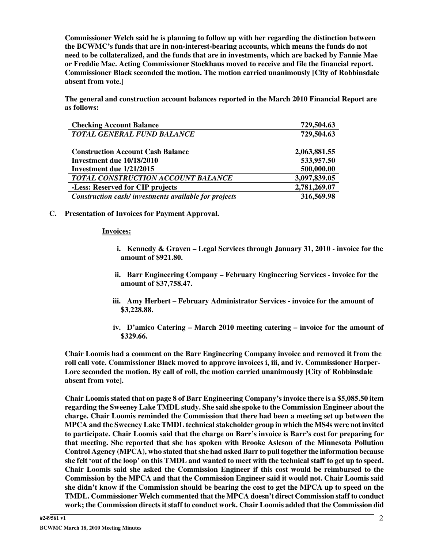**Commissioner Welch said he is planning to follow up with her regarding the distinction between the BCWMC's funds that are in non-interest-bearing accounts, which means the funds do not need to be collateralized, and the funds that are in investments, which are backed by Fannie Mae or Freddie Mac. Acting Commissioner Stockhaus moved to receive and file the financial report. Commissioner Black seconded the motion. The motion carried unanimously [City of Robbinsdale absent from vote.]**

**The general and construction account balances reported in the March 2010 Financial Report are as follows:**

| <b>Checking Account Balance</b>                      | 729,504.63   |
|------------------------------------------------------|--------------|
| <b>TOTAL GENERAL FUND BALANCE</b>                    | 729,504.63   |
| <b>Construction Account Cash Balance</b>             | 2,063,881.55 |
| Investment due 10/18/2010                            | 533,957.50   |
| Investment due 1/21/2015                             | 500,000.00   |
| TOTAL CONSTRUCTION ACCOUNT BALANCE                   | 3,097,839.05 |
| -Less: Reserved for CIP projects                     | 2,781,269.07 |
| Construction cash/investments available for projects | 316,569.98   |

#### **C. Presentation of Invoices for Payment Approval.**

#### **Invoices:**

- **i. Kennedy & Graven – Legal Services through January 31, 2010 - invoice for the amount of \$921.80.**
- **ii. Barr Engineering Company – February Engineering Services - invoice for the amount of \$37,758.47.**
- **iii. Amy Herbert – February Administrator Services - invoice for the amount of \$3,228.88.**
- **iv. D'amico Catering – March 2010 meeting catering – invoice for the amount of \$329.66.**

**Chair Loomis had a comment on the Barr Engineering Company invoice and removed it from the roll call vote. Commissioner Black moved to approve invoices i, iii, and iv. Commissioner Harper-Lore seconded the motion. By call of roll, the motion carried unanimously [City of Robbinsdale absent from vote].**

**Chair Loomis stated that on page 8 of Barr Engineering Company's invoice there is a \$5,085.50 item regarding the Sweeney Lake TMDL study. She said she spoke to the Commission Engineer about the charge. Chair Loomis reminded the Commission that there had been a meeting set up between the MPCA and the Sweeney Lake TMDL technical stakeholder group in which the MS4s were not invited to participate. Chair Loomis said that the charge on Barr's invoice is Barr's cost for preparing for that meeting. She reported that she has spoken with Brooke Asleson of the Minnesota Pollution Control Agency (MPCA), who stated thatshe had asked Barr to pull together the information because** she felt 'out of the loop' on this TMDL and wanted to meet with the technical staff to get up to speed. **Chair Loomis said she asked the Commission Engineer if this cost would be reimbursed to the Commission by the MPCA and that the Commission Engineer said it would not. Chair Loomis said** she didn't know if the Commission should be bearing the cost to get the MPCA up to speed on the **TMDL. Commissioner Welch commented that the MPCA doesn't direct Commission staff to conduct work; the Commission directs it staff to conduct work. Chair Loomis added that the Commission did**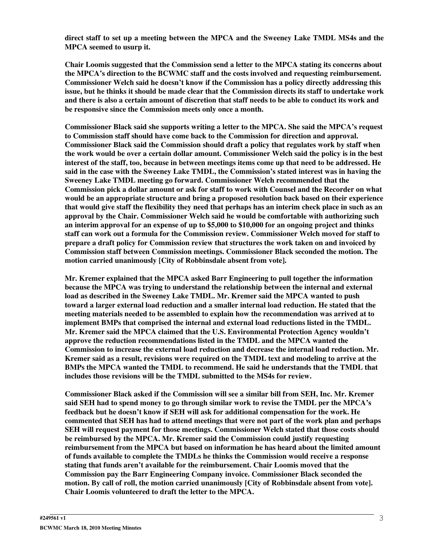**direct staff to set up a meeting between the MPCA and the Sweeney Lake TMDL MS4s and the MPCA seemed to usurp it.**

**Chair Loomis suggested that the Commission send a letter to the MPCA stating its concerns about the MPCA's direction to the BCWMC staff and the costs involved and requesting reimbursement. Commissioner Welch said he doesn't know if the Commission has a policy directly addressing this** issue, but he thinks it should be made clear that the Commission directs its staff to undertake work and there is also a certain amount of discretion that staff needs to be able to conduct its work and **be responsive since the Commission meets only once a month.**

**Commissioner Black said she supports writing a letter to the MPCA. She said the MPCA's request to Commission staff should have come back to the Commission for direction and approval. Commissioner Black said the Commission should draft a policy that regulates work by staff when the work would be over a certain dollar amount. Commissioner Welch said the policy is in the best** interest of the staff, too, because in between meetings items come up that need to be addressed. He **said in the case with the Sweeney Lake TMDL, the Commission's stated interest was in having the Sweeney Lake TMDL meeting go forward. Commissioner Welch recommended that the Commission pick a dollar amount or ask for staff to work with Counsel and the Recorder on what would be an appropriate structure and bring a proposed resolution back based on their experience** that would give staff the flexibility they need that perhaps has an interim check place in such as an **approval by the Chair. Commissioner Welch said he would be comfortable with authorizing such an interim approval for an expense of up to \$5,000 to \$10,000 for an ongoing project and thinks staff can work out a formula for the Commission review. Commissioner Welch moved for staff to prepare a draft policy for Commission review that structures the work taken on and invoiced by Commission staff between Commission meetings. Commissioner Black seconded the motion. The motion carried unanimously [City of Robbinsdale absent from vote].**

**Mr. Kremer explained that the MPCA asked Barr Engineering to pull together the information because the MPCA was trying to understand the relationship between the internal and external load as described in the Sweeney Lake TMDL. Mr. Kremer said the MPCA wanted to push toward a larger external load reduction and a smaller internal load reduction. He stated that the meeting materials needed to be assembled to explain how the recommendation was arrived at to implement BMPs that comprised the internal and external load reductions listed in the TMDL. Mr. Kremer said the MPCA claimed that the U.S. Environmental Protection Agency wouldn't approve the reduction recommendations listed in the TMDL and the MPCA wanted the Commission to increase the external load reduction and decrease the internal load reduction. Mr. Kremer said as a result, revisions were required on the TMDL text and modeling to arrive at the BMPs the MPCA wanted the TMDL to recommend. He said he understands that the TMDL that includes those revisions will be the TMDL submitted to the MS4s for review.**

**Commissioner Black asked if the Commission will see a similar bill from SEH, Inc. Mr. Kremer said SEH had to spend money to go through similar work to revise the TMDL per the MPCA's feedback but he doesn't know if SEH will ask for additional compensation for the work. He commented that SEH has had to attend meetings that were not part of the work plan and perhaps SEH will request payment for those meetings. Commissioner Welch stated that those costs should be reimbursed by the MPCA. Mr. Kremer said the Commission could justify requesting reimbursement from the MPCA but based on information he has heard about the limited amount of funds available to complete the TMDLs he thinks the Commission would receive a response stating that funds aren't available for the reimbursement. Chair Loomis moved that the Commission pay the Barr Engineering Company invoice. Commissioner Black seconded the motion. By call of roll, the motion carried unanimously [City of Robbinsdale absent from vote]. Chair Loomis volunteered to draft the letter to the MPCA.**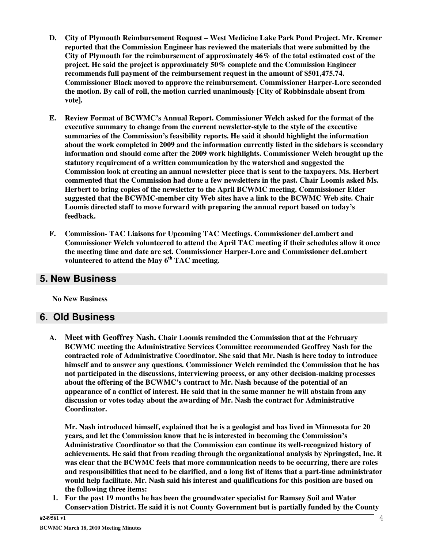- **D. City of Plymouth Reimbursement Request – West Medicine Lake Park Pond Project. Mr. Kremer reported that the Commission Engineer has reviewed the materials that were submitted by the City of Plymouth for the reimbursement of approximately 46% of the total estimated cost of the project. He said the project is approximately 50% complete and the Commission Engineer recommends full payment of the reimbursement request in the amount of \$501,475.74. Commissioner Black moved to approve the reimbursement. Commissioner Harper-Lore seconded the motion. By call of roll, the motion carried unanimously [City of Robbinsdale absent from vote].**
- **E. Review Format of BCWMC's Annual Report. Commissioner Welch asked for the format of the executive summary to change from the current newsletter-style to the style of the executive summaries of the Commission's feasibility reports. He said it should highlight the information about the work completed in 2009 and the information currently listed in the sidebars is secondary information and should come after the 2009 work highlights. Commissioner Welch brought up the statutory requirement of a written communication by the watershed and suggested the Commission look at creating an annual newsletter piece that is sent to the taxpayers. Ms. Herbert commented that the Commission had done a few newsletters in the past. Chair Loomis asked Ms. Herbert to bring copies of the newsletter to the April BCWMC meeting. Commissioner Elder suggested that the BCWMC-member city Web sites have a link to the BCWMC Web site. Chair Loomis directed staff to move forward with preparing the annual report based on today's feedback.**
- **F. Commission- TAC Liaisons for Upcoming TAC Meetings. Commissioner deLambert and Commissioner Welch volunteered to attend the April TAC meeting if their schedules allow it once the meeting time and date are set. Commissioner Harper-Lore and Commissioner deLambert volunteered to attend the May 6 th TAC meeting.**

### **5. New Business**

**No New Business**

## **6. Old Business**

**A. Meet with Geoffrey Nash. Chair Loomis reminded the Commission that at the February BCWMC meeting the Administrative Services Committee recommended Geoffrey Nash for the contracted role of Administrative Coordinator. She said that Mr. Nash is here today to introduce himself and to answer any questions. Commissioner Welch reminded the Commission that he has not participated in the discussions, interviewing process, or any other decision-making processes about the offering of the BCWMC's contract to Mr. Nash because of the potential of an appearance of a conflict of interest. He said that in the same manner he will abstain from any discussion or votes today about the awarding of Mr. Nash the contract for Administrative Coordinator.**

**Mr. Nash introduced himself, explained that he is a geologist and has lived in Minnesota for 20 years, and let the Commission know that he is interested in becoming the Commission's Administrative Coordinator so that the Commission can continue its well-recognized history of achievements. He said that from reading through the organizational analysis by Springsted, Inc. it was clear that the BCWMC feels that more communication needs to be occurring, there are roles and responsibilities that need to be clarified, and a long list of items that a part-time administrator would help facilitate. Mr. Nash said his interest and qualifications for this position are based on the following three items:**

**1. For the past 19 months he has been the groundwater specialist for Ramsey Soil and Water Conservation District. He said it is not County Government but is partially funded by the County**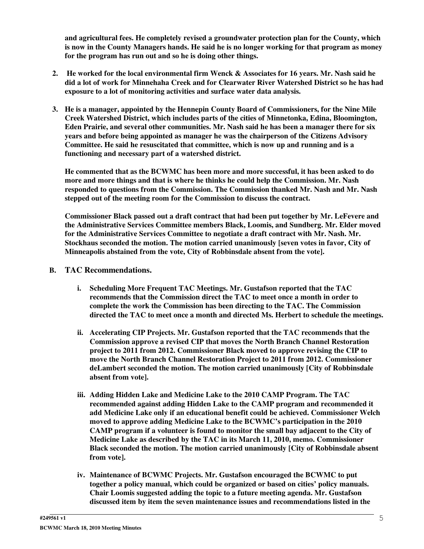**and agricultural fees. He completely revised a groundwater protection plan for the County, which** is now in the County Managers hands. He said he is no longer working for that program as money **for the program has run out and so he is doing other things.**

- **2. He worked for the local environmental firm Wenck & Associates for 16 years. Mr. Nash said he did a lot of work for Minnehaha Creek and for Clearwater River Watershed District so he has had exposure to a lot of monitoring activities and surface water data analysis.**
- **3. He is a manager, appointed by the Hennepin County Board of Commissioners, for the Nine Mile Creek Watershed District, which includes parts of the cities of Minnetonka, Edina, Bloomington, Eden Prairie, and several other communities. Mr. Nash said he has been a manager there for six years and before being appointed as manager he was the chairperson of the Citizens Advisory Committee. He said he resuscitated that committee, which is now up and running and is a functioning and necessary part of a watershed district.**

**He commented that as the BCWMC has been more and more successful, it has been asked to do more and more things and that is where he thinks he could help the Commission. Mr. Nash responded to questions from the Commission. The Commission thanked Mr. Nash and Mr. Nash stepped out of the meeting room for the Commission to discuss the contract.**

**Commissioner Black passed out a draft contract that had been put together by Mr. LeFevere and the Administrative Services Committee members Black, Loomis, and Sundberg. Mr. Elder moved for the Administrative Services Committee to negotiate a draft contract with Mr. Nash. Mr. Stockhaus seconded the motion. The motion carried unanimously [seven votes in favor, City of Minneapolis abstained from the vote, City of Robbinsdale absent from the vote].**

#### **B. TAC Recommendations.**

- **i. Scheduling More Frequent TAC Meetings. Mr. Gustafson reported that the TAC recommends that the Commission direct the TAC to meet once a month in order to complete the work the Commission has been directing to the TAC. The Commission directed the TAC to meet once a month and directed Ms. Herbert to schedule the meetings.**
- **ii. Accelerating CIP Projects. Mr. Gustafson reported that the TAC recommends that the Commission approve a revised CIP that moves the North Branch Channel Restoration project to 2011 from 2012. Commissioner Black moved to approve revising the CIP to move the North Branch Channel Restoration Project to 2011 from 2012. Commissioner deLambert seconded the motion. The motion carried unanimously [City of Robbinsdale absent from vote].**
- **iii. Adding Hidden Lake and Medicine Lake to the 2010 CAMP Program. The TAC recommended against adding Hidden Lake to the CAMP program and recommended it add Medicine Lake only if an educational benefit could be achieved. Commissioner Welch moved to approve adding Medicine Lake to the BCWMC's participation in the 2010 CAMP program if a volunteer is found to monitor the small bay adjacent to the City of Medicine Lake as described by the TAC in its March 11, 2010, memo. Commissioner Black seconded the motion. The motion carried unanimously [City of Robbinsdale absent from vote].**
- **iv. Maintenance of BCWMC Projects. Mr. Gustafson encouraged the BCWMC to put together a policy manual, which could be organized or based on cities' policy manuals. Chair Loomis suggested adding the topic to a future meeting agenda. Mr. Gustafson discussed item by item the seven maintenance issues and recommendations listed in the**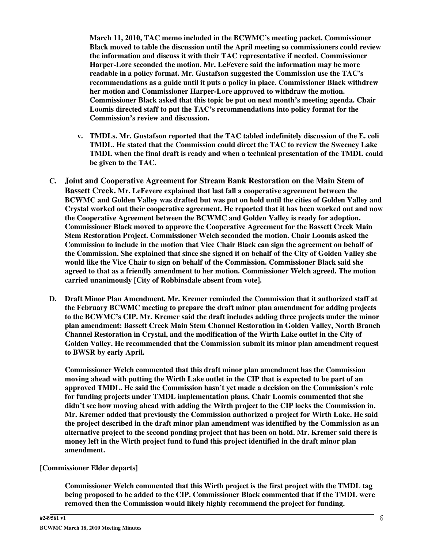**March 11, 2010, TAC memo included in the BCWMC's meeting packet. Commissioner Black moved to table the discussion until the April meeting so commissioners could review the information and discuss it with their TAC representative if needed. Commissioner Harper-Lore seconded the motion. Mr. LeFevere said the information may be more readable in a policy format. Mr. Gustafson suggested the Commission use the TAC's recommendations as a guide until it puts a policy in place. Commissioner Black withdrew her motion and Commissioner Harper-Lore approved to withdraw the motion. Commissioner Black asked that this topic be put on next month's meeting agenda. Chair Loomis directed staff to put the TAC's recommendations into policy format for the Commission's review and discussion.**

- **v. TMDLs. Mr. Gustafson reported that the TAC tabled indefinitely discussion of the E. coli TMDL. He stated that the Commission could direct the TAC to review the Sweeney Lake TMDL when the final draft is ready and when a technical presentation of the TMDL could be given to the TAC.**
- **C. Joint and Cooperative Agreement for Stream Bank Restoration on the Main Stem of Bassett Creek. Mr. LeFevere explained that last fall a cooperative agreement between the BCWMC and Golden Valley was drafted but was put on hold until the cities of Golden Valley and Crystal worked out their cooperative agreement. He reported that it has been worked out and now the Cooperative Agreement between the BCWMC and Golden Valley is ready for adoption. Commissioner Black moved to approve the Cooperative Agreement for the Bassett Creek Main Stem Restoration Project. Commissioner Welch seconded the motion. Chair Loomis asked the Commission to include in the motion that Vice Chair Black can sign the agreement on behalf of the Commission. She explained that since she signed it on behalf of the City of Golden Valley she would like the Vice Chair to sign on behalf of the Commission. Commissioner Black said she agreed to that as a friendly amendment to her motion. Commissioner Welch agreed. The motion carried unanimously [City of Robbinsdale absent from vote].**
- **D. Draft Minor Plan Amendment. Mr. Kremer reminded the Commission that it authorized staff at the February BCWMC meeting to prepare the draft minor plan amendment for adding projects to the BCWMC's CIP. Mr. Kremer said the draft includes adding three projects under the minor plan amendment: Bassett Creek Main Stem Channel Restoration in Golden Valley, North Branch Channel Restoration in Crystal, and the modification of the Wirth Lake outlet in the City of Golden Valley. He recommended that the Commission submit its minor plan amendment request to BWSR by early April.**

**Commissioner Welch commented that this draft minor plan amendment has the Commission** moving ahead with putting the Wirth Lake outlet in the CIP that is expected to be part of an **approved TMDL. He said the Commission hasn't yet made a decision on the Commission's role for funding projects under TMDL implementation plans. Chair Loomis commented that she didn't see how moving ahead with adding the Wirth project to the CIP locks the Commission in. Mr. Kremer added that previously the Commission authorized a project for Wirth Lake. He said the project described in the draft minor plan amendment was identified by the Commission as an alternative project to the second ponding project that has been on hold. Mr. Kremer said there is money left in the Wirth project fund to fund this project identified in the draft minor plan amendment.**

#### **[Commissioner Elder departs]**

**Commissioner Welch commented that this Wirth project is the first project with the TMDL tag being proposed to be added to the CIP. Commissioner Black commented that if the TMDL were removed then the Commission would likely highly recommend the project for funding.**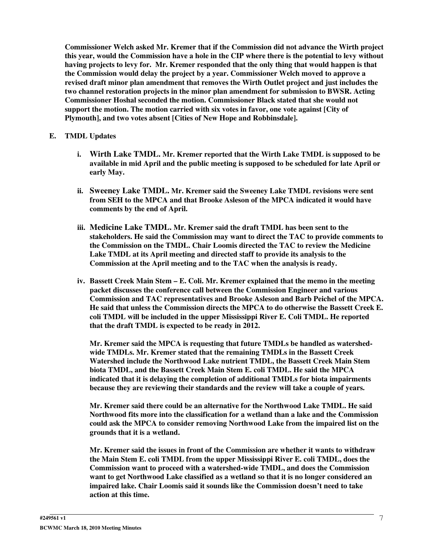**Commissioner Welch asked Mr. Kremer that if the Commission did not advance the Wirth project** this year, would the Commission have a hole in the CIP where there is the potential to levy without **having projects to levy for. Mr. Kremer responded that the only thing that would happen is that the Commission would delay the project by a year. Commissioner Welch moved to approve a revised draft minor plan amendment that removes the Wirth Outlet project and just includes the two channel restoration projects in the minor plan amendment for submission to BWSR. Acting Commissioner Hoshal seconded the motion. Commissioner Black stated that she would not support the motion. The motion carried with six votes in favor, one vote against [City of Plymouth], and two votes absent [Cities of New Hope and Robbinsdale].**

#### **E. TMDL Updates**

- **i. Wirth Lake TMDL. Mr. Kremer reported that the Wirth Lake TMDL is supposed to be available in mid April and the public meeting is supposed to be scheduled for late April or early May.**
- **ii. Sweeney Lake TMDL. Mr. Kremer said the Sweeney Lake TMDL revisions were sent from SEH to the MPCA and that Brooke Asleson of the MPCA indicated it would have comments by the end of April.**
- **iii. Medicine Lake TMDL. Mr. Kremer said the draft TMDL has been sent to the stakeholders. He said the Commission may want to direct the TAC to provide comments to the Commission on the TMDL. Chair Loomis directed the TAC to review the Medicine Lake TMDL at its April meeting and directed staff to provide its analysis to the Commission at the April meeting and to the TAC when the analysis is ready.**
- **iv. Bassett Creek Main Stem – E. Coli. Mr. Kremer explained that the memo in the meeting packet discusses the conference call between the Commission Engineer and various Commission and TAC representatives and Brooke Asleson and Barb Peichel of the MPCA. He said that unless the Commission directs the MPCA to do otherwise the Bassett Creek E. coli TMDL will be included in the upper Mississippi River E. Coli TMDL. He reported that the draft TMDL is expected to be ready in 2012.**

**Mr. Kremer said the MPCA is requesting that future TMDLs be handled as watershedwide TMDLs. Mr. Kremer stated that the remaining TMDLs in the Bassett Creek Watershed include the Northwood Lake nutrient TMDL, the Bassett Creek Main Stem biota TMDL, and the Bassett Creek Main Stem E. coli TMDL. He said the MPCA indicated that it is delaying the completion of additional TMDLs for biota impairments because they are reviewing their standards and the review will take a couple of years.**

**Mr. Kremer said there could be an alternative for the Northwood Lake TMDL. He said Northwood fits more into the classification for a wetland than a lake and the Commission could ask the MPCA to consider removing Northwood Lake from the impaired list on the grounds that it is a wetland.**

**Mr. Kremer said the issues in front of the Commission are whether it wants to withdraw the Main Stem E. coli TMDL from the upper Mississippi River E. coli TMDL, does the Commission want to proceed with a watershed-wide TMDL, and does the Commission want to get Northwood Lake classified as a wetland so that it is no longer considered an impaired lake. Chair Loomis said it sounds like the Commission doesn't need to take action at this time.**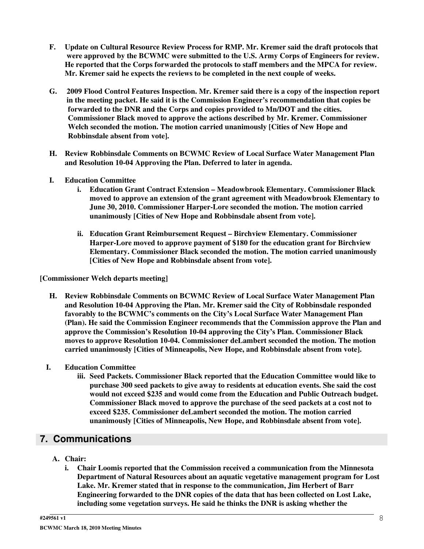- **F. Update on Cultural Resource Review Process for RMP. Mr. Kremer said the draft protocols that were approved by the BCWMC were submitted to the U.S. Army Corps of Engineers for review. He reported that the Corps forwarded the protocols to staff members and the MPCA for review. Mr. Kremer said he expects the reviews to be completed in the next couple of weeks.**
- **G. 2009 Flood Control Features Inspection. Mr. Kremer said there is a copy of the inspection report in the meeting packet. He said it is the Commission Engineer's recommendation that copies be forwarded to the DNR and the Corps and copies provided to Mn/DOT and the cities. Commissioner Black moved to approve the actions described by Mr. Kremer. Commissioner Welch seconded the motion. The motion carried unanimously [Cities of New Hope and Robbinsdale absent from vote].**
- **H. Review Robbinsdale Comments on BCWMC Review of Local Surface Water Management Plan and Resolution 10-04 Approving the Plan. Deferred to later in agenda.**
- **I. Education Committee**
	- **i. Education Grant Contract Extension – Meadowbrook Elementary. Commissioner Black moved to approve an extension of the grant agreement with Meadowbrook Elementary to June 30, 2010. Commissioner Harper-Lore seconded the motion. The motion carried unanimously [Cities of New Hope and Robbinsdale absent from vote].**
	- **ii. Education Grant Reimbursement Request – Birchview Elementary. Commissioner Harper-Lore moved to approve payment of \$180 for the education grant for Birchview Elementary. Commissioner Black seconded the motion. The motion carried unanimously [Cities of New Hope and Robbinsdale absent from vote].**

**[Commissioner Welch departs meeting]**

- **H. Review Robbinsdale Comments on BCWMC Review of Local Surface Water Management Plan and Resolution 10-04 Approving the Plan. Mr. Kremer said the City of Robbinsdale responded favorably to the BCWMC's comments on the City's Local Surface Water Management Plan (Plan). He said the Commission Engineer recommends that the Commission approve the Plan and approve the Commission's Resolution 10-04 approving the City's Plan. Commissioner Black moves to approve Resolution 10-04. Commissioner deLambert seconded the motion. The motion carried unanimously [Cities of Minneapolis, New Hope, and Robbinsdale absent from vote].**
- **I. Education Committee**
	- **iii. Seed Packets. Commissioner Black reported that the Education Committee would like to purchase 300 seed packets to give away to residents at education events. She said the cost would not exceed \$235 and would come from the Education and Public Outreach budget. Commissioner Black moved to approve the purchase of the seed packets at a cost not to exceed \$235. Commissioner deLambert seconded the motion. The motion carried unanimously [Cities of Minneapolis, New Hope, and Robbinsdale absent from vote].**

## **7. Communications**

- **A. Chair:**
	- **i. Chair Loomis reported that the Commission received a communication from the Minnesota Department of Natural Resources about an aquatic vegetative management program for Lost Lake. Mr. Kremer stated that in response to the communication, Jim Herbert of Barr Engineering forwarded to the DNR copies of the data that has been collected on Lost Lake, including some vegetation surveys. He said he thinks the DNR is asking whether the**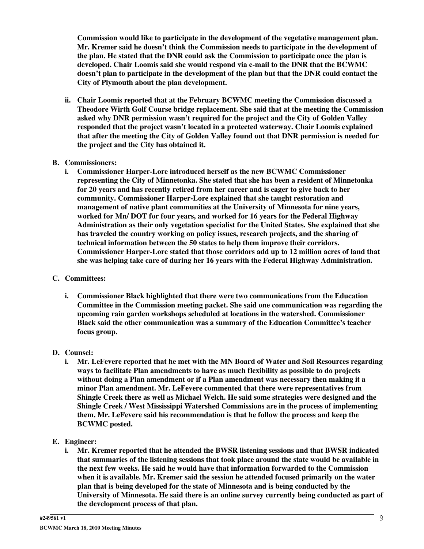**Commission would like to participate in the development of the vegetative management plan. Mr. Kremer said he doesn't think the Commission needs to participate in the development of the plan. He stated that the DNR could ask the Commission to participate once the plan is developed. Chair Loomis said she would respond via e-mail to the DNR that the BCWMC doesn't plan to participate in the development of the plan but that the DNR could contact the City of Plymouth about the plan development.**

**ii. Chair Loomis reported that at the February BCWMC meeting the Commission discussed a Theodore Wirth Golf Course bridge replacement. She said that at the meeting the Commission asked why DNR permission wasn't required for the project and the City of Golden Valley responded that the project wasn't located in a protected waterway. Chair Loomis explained that after the meeting the City of Golden Valley found out that DNR permission is needed for the project and the City has obtained it.**

#### **B. Commissioners:**

**i. Commissioner Harper-Lore introduced herself as the new BCWMC Commissioner representing the City of Minnetonka. She stated that she has been a resident of Minnetonka for 20 years and has recently retired from her career and is eager to give back to her community. Commissioner Harper-Lore explained that she taught restoration and management of native plant communities at the University of Minnesota for nine years, worked for Mn/ DOT for four years, and worked for 16 years for the Federal Highway Administration as their only vegetation specialist for the United States. She explained that she has traveled the country working on policy issues, research projects, and the sharing of technical information between the 50 states to help them improve their corridors. Commissioner Harper-Lore stated that those corridors add up to 12 million acres of land that she was helping take care of during her 16 years with the Federal Highway Administration.**

#### **C. Committees:**

**i. Commissioner Black highlighted that there were two communications from the Education Committee in the Commission meeting packet. She said one communication was regarding the upcoming rain garden workshops scheduled at locations in the watershed. Commissioner Black said the other communication was a summary of the Education Committee's teacher focus group.**

#### **D. Counsel:**

- **i. Mr. LeFevere reported that he met with the MN Board of Water and Soil Resources regarding ways to facilitate Plan amendments to have as much flexibility as possible to do projects without doing a Plan amendment or if a Plan amendment was necessary then making it a minor Plan amendment. Mr. LeFevere commented that there were representatives from Shingle Creek there as well as Michael Welch. He said some strategies were designed and the Shingle Creek / West Mississippi Watershed Commissions are in the process of implementing them. Mr. LeFevere said his recommendation is that he follow the process and keep the BCWMC posted.**
- **E. Engineer:**
	- **i. Mr. Kremer reported that he attended the BWSR listening sessions and that BWSR indicated that summaries of the listening sessions that took place around the state would be available in the next few weeks. He said he would have that information forwarded to the Commission when it is available. Mr. Kremer said the session he attended focused primarily on the water plan that is being developed for the state of Minnesota and is being conducted by the University of Minnesota. He said there is an online survey currently being conducted as part of the development process of that plan.**